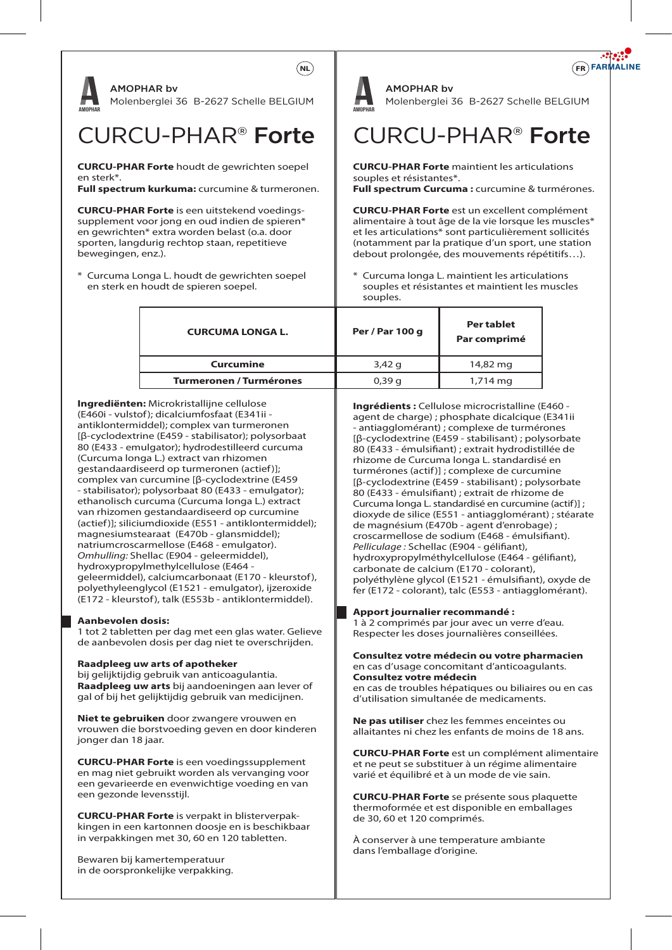

(Curcuma longa L.) extract van rhizomen gestandaardiseerd op turmeronen (actief)]; complex van curcumine [β-cyclodextrine (E459 - stabilisator); polysorbaat 80 (E433 - emulgator); ethanolisch curcuma (Curcuma longa L.) extract van rhizomen gestandaardiseerd op curcumine (actief)]; siliciumdioxide (E551 - antiklontermiddel); magnesiumstearaat (E470b - glansmiddel); natriumcroscarmellose (E468 - emulgator). *Omhulling:* Shellac (E904 - geleermiddel), hydroxypropylmethylcellulose (E464 geleermiddel), calciumcarbonaat (E170 - kleurstof), polyethyleenglycol (E1521 - emulgator), ijzeroxide (E172 - kleurstof), talk (E553b - antiklontermiddel).

# **Aanbevolen dosis:**

1 tot 2 tabletten per dag met een glas water. Gelieve de aanbevolen dosis per dag niet te overschrijden.

### **Raadpleeg uw arts of apotheker**

bij gelijktijdig gebruik van anticoagulantia. **Raadpleeg uw arts** bij aandoeningen aan lever of gal of bij het gelijktijdig gebruik van medicijnen.

**Niet te gebruiken** door zwangere vrouwen en vrouwen die borstvoeding geven en door kinderen jonger dan 18 jaar.

**CURCU-PHAR Forte** is een voedingssupplement en mag niet gebruikt worden als vervanging voor een gevarieerde en evenwichtige voeding en van een gezonde levensstijl.

**CURCU-PHAR Forte** is verpakt in blisterverpakkingen in een kartonnen doosje en is beschikbaar in verpakkingen met 30, 60 en 120 tabletten.

Bewaren bij kamertemperatuur in de oorspronkelijke verpakking.

rhizome de Curcuma longa L. standardisé en turmérones (actif)] ; complexe de curcumine [β-cyclodextrine (E459 - stabilisant) ; polysorbate 80 (E433 - émulsifiant) ; extrait de rhizome de Curcuma longa L. standardisé en curcumine (actif)] ; dioxyde de silice (E551 - antiagglomérant) ; stéarate de magnésium (E470b - agent d'enrobage) ; croscarmellose de sodium (E468 - émulsifiant). *Pelliculage : Schellac (E904 - gélifiant),* hydroxypropylméthylcellulose (E464 - gélifiant), carbonate de calcium (E170 - colorant), polyéthylène glycol (E1521 - émulsifiant), oxyde de fer (E172 - colorant), talc (E553 - antiagglomérant).

# **Apport journalier recommandé :**

1 à 2 comprimés par jour avec un verre d'eau. Respecter les doses journalières conseillées.

### **Consultez votre médecin ou votre pharmacien**  en cas d'usage concomitant d'anticoagulants. **Consultez votre médecin**

en cas de troubles hépatiques ou biliaires ou en cas d'utilisation simultanée de medicaments.

**Ne pas utiliser** chez les femmes enceintes ou allaitantes ni chez les enfants de moins de 18 ans.

**CURCU-PHAR Forte** est un complément alimentaire et ne peut se substituer à un régime alimentaire varié et équilibré et à un mode de vie sain.

**CURCU-PHAR Forte** se présente sous plaquette thermoformée et est disponible en emballages de 30, 60 et 120 comprimés.

À conserver à une temperature ambiante dans l'emballage d'origine.